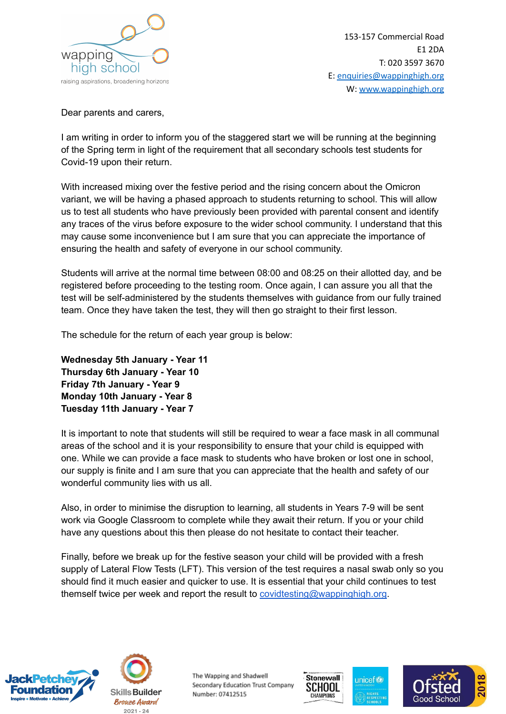

Dear parents and carers,

I am writing in order to inform you of the staggered start we will be running at the beginning of the Spring term in light of the requirement that all secondary schools test students for Covid-19 upon their return.

With increased mixing over the festive period and the rising concern about the Omicron variant, we will be having a phased approach to students returning to school. This will allow us to test all students who have previously been provided with parental consent and identify any traces of the virus before exposure to the wider school community. I understand that this may cause some inconvenience but I am sure that you can appreciate the importance of ensuring the health and safety of everyone in our school community.

Students will arrive at the normal time between 08:00 and 08:25 on their allotted day, and be registered before proceeding to the testing room. Once again, I can assure you all that the test will be self-administered by the students themselves with guidance from our fully trained team. Once they have taken the test, they will then go straight to their first lesson.

The schedule for the return of each year group is below:

**Wednesday 5th January - Year 11 Thursday 6th January - Year 10 Friday 7th January - Year 9 Monday 10th January - Year 8 Tuesday 11th January - Year 7**

It is important to note that students will still be required to wear a face mask in all communal areas of the school and it is your responsibility to ensure that your child is equipped with one. While we can provide a face mask to students who have broken or lost one in school, our supply is finite and I am sure that you can appreciate that the health and safety of our wonderful community lies with us all.

Also, in order to minimise the disruption to learning, all students in Years 7-9 will be sent work via Google Classroom to complete while they await their return. If you or your child have any questions about this then please do not hesitate to contact their teacher.

Finally, before we break up for the festive season your child will be provided with a fresh supply of Lateral Flow Tests (LFT). This version of the test requires a nasal swab only so you should find it much easier and quicker to use. It is essential that your child continues to test themself twice per week and report the result to [covidtesting@wappinghigh.org.](mailto:covidtesting@wappinghigh.org)





The Wapping and Shadwell Secondary Education Trust Company Number: 07412515